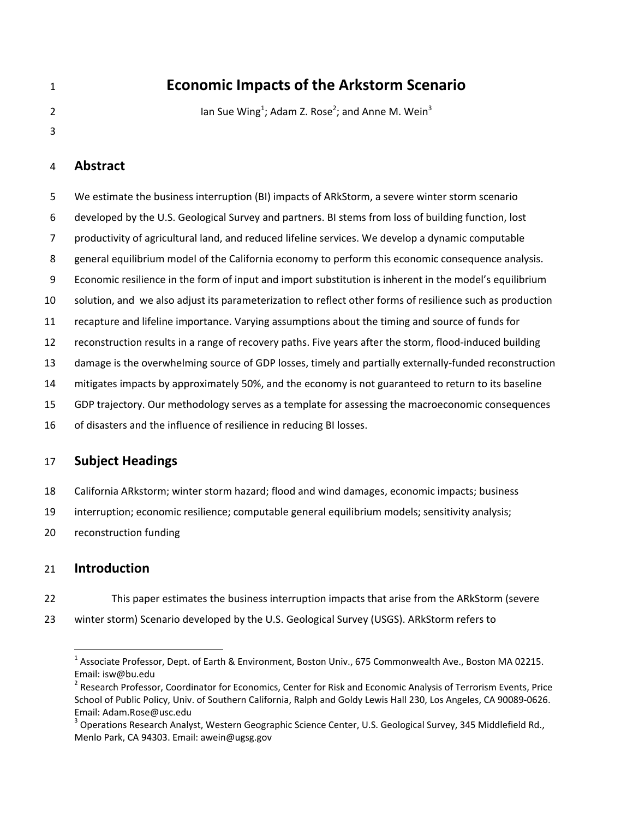|   | <b>Economic Impacts of the Arkstorm Scenario</b>                                      |  |  |  |  |  |  |
|---|---------------------------------------------------------------------------------------|--|--|--|--|--|--|
| 2 | Ian Sue Wing <sup>1</sup> ; Adam Z. Rose <sup>2</sup> ; and Anne M. Wein <sup>3</sup> |  |  |  |  |  |  |
| 3 |                                                                                       |  |  |  |  |  |  |

## 4 **Abstract**

5 We estimate the business interruption (BI) impacts of ARkStorm, a severe winter storm scenario 6 developed by the U.S. Geological Survey and partners. BI stems from loss of building function, lost 7 productivity of agricultural land, and reduced lifeline services. We develop a dynamic computable 8 general equilibrium model of the California economy to perform this economic consequence analysis. 9 Economic resilience in the form of input and import substitution is inherent in the model's equilibrium 10 solution, and we also adjust its parameterization to reflect other forms of resilience such as production 11 recapture and lifeline importance. Varying assumptions about the timing and source of funds for 12 reconstruction results in a range of recovery paths. Five years after the storm, flood-induced building 13 damage is the overwhelming source of GDP losses, timely and partially externally-funded reconstruction 14 mitigates impacts by approximately 50%, and the economy is not guaranteed to return to its baseline 15 GDP trajectory. Our methodology serves as a template for assessing the macroeconomic consequences

- 
- 16 of disasters and the influence of resilience in reducing BI losses.

# 17 **Subject Headings**

- 18 California ARkstorm; winter storm hazard; flood and wind damages, economic impacts; business
- 19 interruption; economic resilience; computable general equilibrium models; sensitivity analysis;
- 20 reconstruction funding

# 21 **Introduction**

**.** 

- 22 This paper estimates the business interruption impacts that arise from the ARkStorm (severe
- 23 winter storm) Scenario developed by the U.S. Geological Survey (USGS). ARkStorm refers to

<sup>&</sup>lt;sup>1</sup> Associate Professor, Dept. of Earth & Environment, Boston Univ., 675 Commonwealth Ave., Boston MA 02215. Email: isw@bu.edu

<sup>&</sup>lt;sup>2</sup> Research Professor, Coordinator for Economics, Center for Risk and Economic Analysis of Terrorism Events, Price School of Public Policy, Univ. of Southern California, Ralph and Goldy Lewis Hall 230, Los Angeles, CA 90089-0626. Email: Adam.Rose@usc.edu

<sup>&</sup>lt;sup>3</sup> Operations Research Analyst, Western Geographic Science Center, U.S. Geological Survey, 345 Middlefield Rd., Menlo Park, CA 94303. Email: awein@ugsg.gov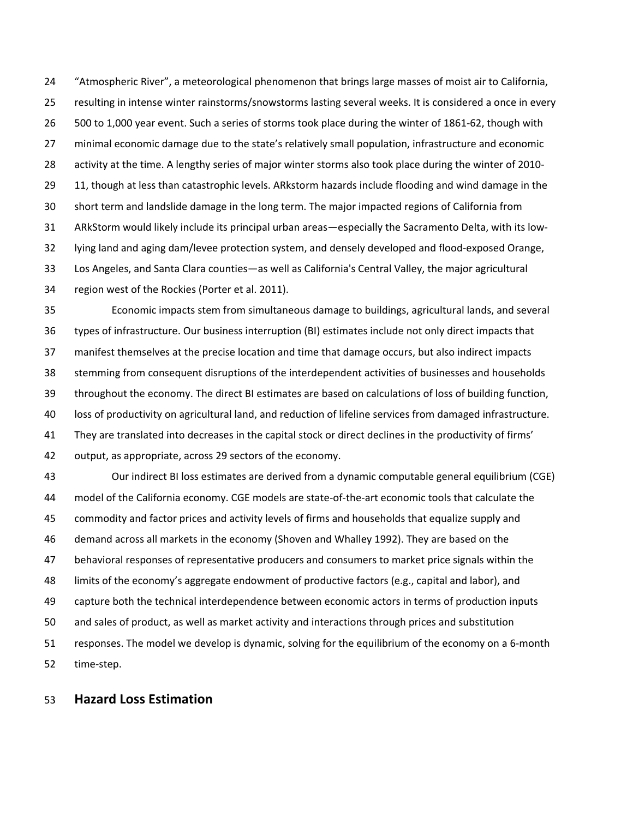24 "Atmospheric River", a meteorological phenomenon that brings large masses of moist air to California, 25 resulting in intense winter rainstorms/snowstorms lasting several weeks. It is considered a once in every 26 500 to 1,000 year event. Such a series of storms took place during the winter of 1861-62, though with 27 minimal economic damage due to the state's relatively small population, infrastructure and economic 28 activity at the time. A lengthy series of major winter storms also took place during the winter of 2010- 29 11, though at less than catastrophic levels. ARkstorm hazards include flooding and wind damage in the 30 short term and landslide damage in the long term. The major impacted regions of California from 31 ARkStorm would likely include its principal urban areas—especially the Sacramento Delta, with its low-32 lying land and aging dam/levee protection system, and densely developed and flood-exposed Orange, 33 Los Angeles, and Santa Clara counties—as well as California's Central Valley, the major agricultural 34 region west of the Rockies (Porter et al. 2011).

35 Economic impacts stem from simultaneous damage to buildings, agricultural lands, and several 36 types of infrastructure. Our business interruption (BI) estimates include not only direct impacts that 37 manifest themselves at the precise location and time that damage occurs, but also indirect impacts 38 stemming from consequent disruptions of the interdependent activities of businesses and households 39 throughout the economy. The direct BI estimates are based on calculations of loss of building function, 40 loss of productivity on agricultural land, and reduction of lifeline services from damaged infrastructure. 41 They are translated into decreases in the capital stock or direct declines in the productivity of firms' 42 output, as appropriate, across 29 sectors of the economy.

43 Our indirect BI loss estimates are derived from a dynamic computable general equilibrium (CGE) 44 model of the California economy. CGE models are state-of-the-art economic tools that calculate the 45 commodity and factor prices and activity levels of firms and households that equalize supply and 46 demand across all markets in the economy (Shoven and Whalley 1992). They are based on the 47 behavioral responses of representative producers and consumers to market price signals within the 48 limits of the economy's aggregate endowment of productive factors (e.g., capital and labor), and 49 capture both the technical interdependence between economic actors in terms of production inputs 50 and sales of product, as well as market activity and interactions through prices and substitution 51 responses. The model we develop is dynamic, solving for the equilibrium of the economy on a 6-month 52 time-step.

### 53 **Hazard Loss Estimation**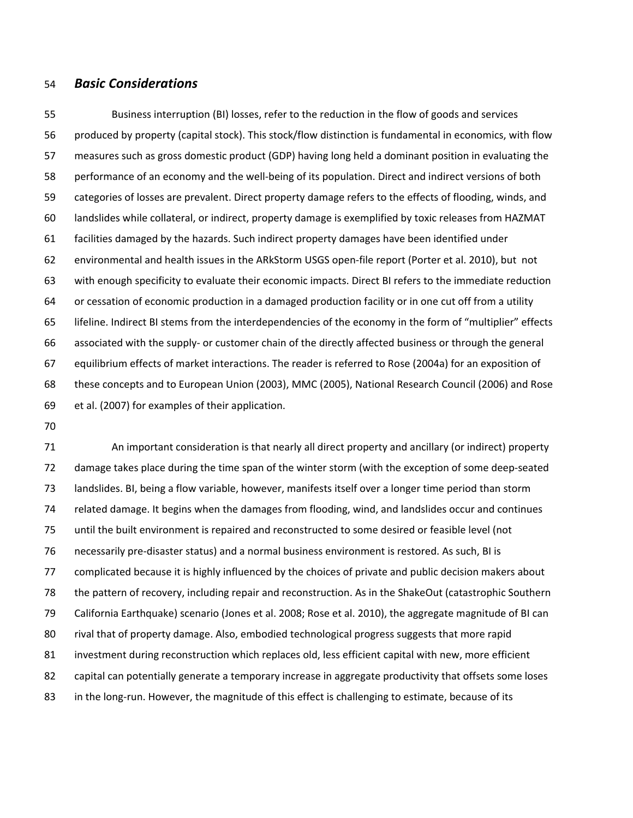#### 54 *Basic Considerations*

55 Business interruption (BI) losses, refer to the reduction in the flow of goods and services 56 produced by property (capital stock). This stock/flow distinction is fundamental in economics, with flow 57 measures such as gross domestic product (GDP) having long held a dominant position in evaluating the 58 performance of an economy and the well-being of its population. Direct and indirect versions of both 59 categories of losses are prevalent. Direct property damage refers to the effects of flooding, winds, and 60 landslides while collateral, or indirect, property damage is exemplified by toxic releases from HAZMAT 61 facilities damaged by the hazards. Such indirect property damages have been identified under 62 environmental and health issues in the ARkStorm USGS open-file report (Porter et al. 2010), but not 63 with enough specificity to evaluate their economic impacts. Direct BI refers to the immediate reduction 64 or cessation of economic production in a damaged production facility or in one cut off from a utility 65 lifeline. Indirect BI stems from the interdependencies of the economy in the form of "multiplier" effects 66 associated with the supply- or customer chain of the directly affected business or through the general 67 equilibrium effects of market interactions. The reader is referred to Rose (2004a) for an exposition of 68 these concepts and to European Union (2003), MMC (2005), National Research Council (2006) and Rose 69 et al. (2007) for examples of their application.

70

71 An important consideration is that nearly all direct property and ancillary (or indirect) property 72 damage takes place during the time span of the winter storm (with the exception of some deep-seated 73 landslides. BI, being a flow variable, however, manifests itself over a longer time period than storm 74 related damage. It begins when the damages from flooding, wind, and landslides occur and continues 75 until the built environment is repaired and reconstructed to some desired or feasible level (not 76 necessarily pre-disaster status) and a normal business environment is restored. As such, BI is 77 complicated because it is highly influenced by the choices of private and public decision makers about 78 the pattern of recovery, including repair and reconstruction. As in the ShakeOut (catastrophic Southern 79 California Earthquake) scenario (Jones et al. 2008; Rose et al. 2010), the aggregate magnitude of BI can 80 rival that of property damage. Also, embodied technological progress suggests that more rapid 81 investment during reconstruction which replaces old, less efficient capital with new, more efficient 82 capital can potentially generate a temporary increase in aggregate productivity that offsets some loses 83 in the long-run. However, the magnitude of this effect is challenging to estimate, because of its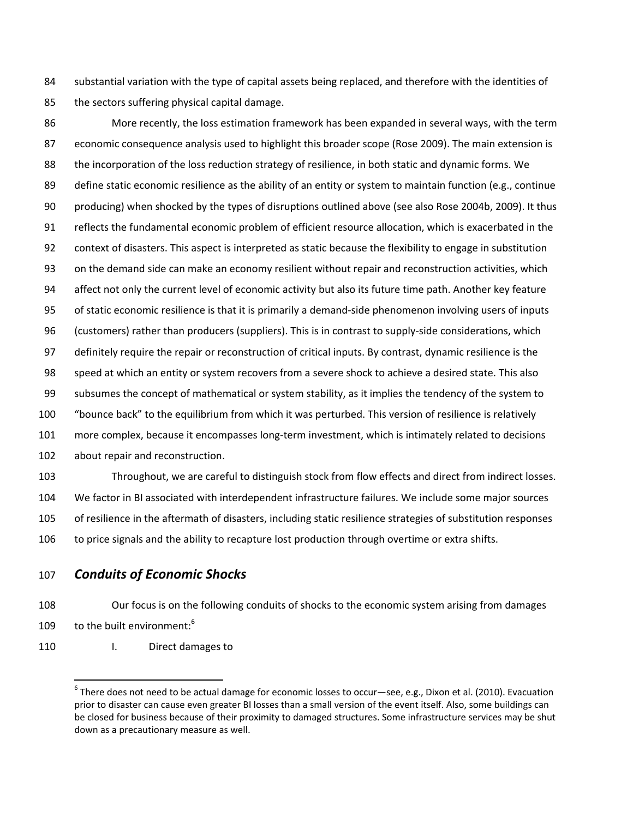84 substantial variation with the type of capital assets being replaced, and therefore with the identities of 85 the sectors suffering physical capital damage.

86 More recently, the loss estimation framework has been expanded in several ways, with the term 87 economic consequence analysis used to highlight this broader scope (Rose 2009). The main extension is 88 the incorporation of the loss reduction strategy of resilience, in both static and dynamic forms. We 89 define static economic resilience as the ability of an entity or system to maintain function (e.g., continue 90 producing) when shocked by the types of disruptions outlined above (see also Rose 2004b, 2009). It thus 91 reflects the fundamental economic problem of efficient resource allocation, which is exacerbated in the 92 context of disasters. This aspect is interpreted as static because the flexibility to engage in substitution 93 on the demand side can make an economy resilient without repair and reconstruction activities, which 94 affect not only the current level of economic activity but also its future time path. Another key feature 95 of static economic resilience is that it is primarily a demand-side phenomenon involving users of inputs 96 (customers) rather than producers (suppliers). This is in contrast to supply-side considerations, which 97 definitely require the repair or reconstruction of critical inputs. By contrast, dynamic resilience is the 98 speed at which an entity or system recovers from a severe shock to achieve a desired state. This also 99 subsumes the concept of mathematical or system stability, as it implies the tendency of the system to 100 "bounce back" to the equilibrium from which it was perturbed. This version of resilience is relatively 101 more complex, because it encompasses long-term investment, which is intimately related to decisions 102 about repair and reconstruction.

103 Throughout, we are careful to distinguish stock from flow effects and direct from indirect losses. 104 We factor in BI associated with interdependent infrastructure failures. We include some major sources 105 of resilience in the aftermath of disasters, including static resilience strategies of substitution responses 106 to price signals and the ability to recapture lost production through overtime or extra shifts.

### 107 *Conduits of Economic Shocks*

- 108 Our focus is on the following conduits of shocks to the economic system arising from damages
- 109 to the built environment:<sup>6</sup>

**.** 

110 I. Direct damages to

 $^6$  There does not need to be actual damage for economic losses to occur—see, e.g., Dixon et al. (2010). Evacuation prior to disaster can cause even greater BI losses than a small version of the event itself. Also, some buildings can be closed for business because of their proximity to damaged structures. Some infrastructure services may be shut down as a precautionary measure as well.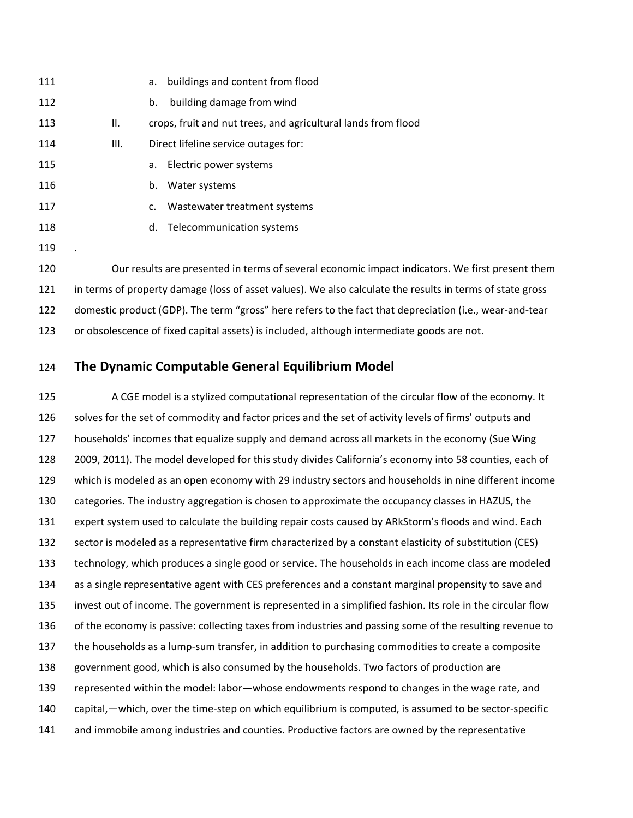| 111 |      | a. | buildings and content from flood                                                                          |
|-----|------|----|-----------------------------------------------------------------------------------------------------------|
| 112 |      | b. | building damage from wind                                                                                 |
| 113 | Ш.   |    | crops, fruit and nut trees, and agricultural lands from flood                                             |
| 114 | III. |    | Direct lifeline service outages for:                                                                      |
| 115 |      | а. | Electric power systems                                                                                    |
| 116 |      | b. | Water systems                                                                                             |
| 117 |      | c. | Wastewater treatment systems                                                                              |
| 118 |      | d. | Telecommunication systems                                                                                 |
| 119 |      |    |                                                                                                           |
| 120 |      |    | Our results are presented in terms of several economic impact indicators. We first present them           |
| 121 |      |    | in terms of property damage (loss of asset values). We also calculate the results in terms of state gross |
| 122 |      |    | domestic product (GDP). The term "gross" here refers to the fact that depreciation (i.e., wear-and-tear   |

123 or obsolescence of fixed capital assets) is included, although intermediate goods are not.

## 124 **The Dynamic Computable General Equilibrium Model**

125 A CGE model is a stylized computational representation of the circular flow of the economy. It 126 solves for the set of commodity and factor prices and the set of activity levels of firms' outputs and 127 households' incomes that equalize supply and demand across all markets in the economy (Sue Wing 128 2009, 2011). The model developed for this study divides California's economy into 58 counties, each of 129 which is modeled as an open economy with 29 industry sectors and households in nine different income 130 categories. The industry aggregation is chosen to approximate the occupancy classes in HAZUS, the 131 expert system used to calculate the building repair costs caused by ARkStorm's floods and wind. Each 132 sector is modeled as a representative firm characterized by a constant elasticity of substitution (CES) 133 technology, which produces a single good or service. The households in each income class are modeled 134 as a single representative agent with CES preferences and a constant marginal propensity to save and 135 invest out of income. The government is represented in a simplified fashion. Its role in the circular flow 136 of the economy is passive: collecting taxes from industries and passing some of the resulting revenue to 137 the households as a lump-sum transfer, in addition to purchasing commodities to create a composite 138 government good, which is also consumed by the households. Two factors of production are 139 represented within the model: labor—whose endowments respond to changes in the wage rate, and 140 capital,—which, over the time-step on which equilibrium is computed, is assumed to be sector-specific 141 and immobile among industries and counties. Productive factors are owned by the representative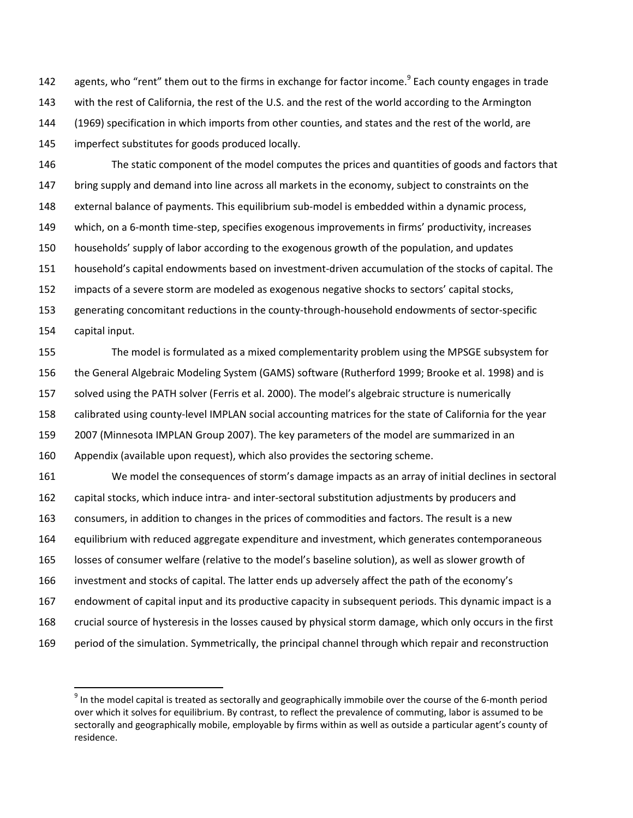142 agents, who "rent" them out to the firms in exchange for factor income.<sup>9</sup> Each county engages in trade 143 with the rest of California, the rest of the U.S. and the rest of the world according to the Armington 144 (1969) specification in which imports from other counties, and states and the rest of the world, are 145 imperfect substitutes for goods produced locally.

146 The static component of the model computes the prices and quantities of goods and factors that 147 bring supply and demand into line across all markets in the economy, subject to constraints on the 148 external balance of payments. This equilibrium sub-model is embedded within a dynamic process, 149 which, on a 6-month time-step, specifies exogenous improvements in firms' productivity, increases 150 households' supply of labor according to the exogenous growth of the population, and updates 151 household's capital endowments based on investment-driven accumulation of the stocks of capital. The 152 impacts of a severe storm are modeled as exogenous negative shocks to sectors' capital stocks, 153 generating concomitant reductions in the county-through-household endowments of sector-specific 154 capital input.

155 The model is formulated as a mixed complementarity problem using the MPSGE subsystem for 156 the General Algebraic Modeling System (GAMS) software (Rutherford 1999; Brooke et al. 1998) and is 157 solved using the PATH solver (Ferris et al. 2000). The model's algebraic structure is numerically 158 calibrated using county-level IMPLAN social accounting matrices for the state of California for the year 159 2007 (Minnesota IMPLAN Group 2007). The key parameters of the model are summarized in an 160 Appendix (available upon request), which also provides the sectoring scheme. 161 We model the consequences of storm's damage impacts as an array of initial declines in sectoral

162 capital stocks, which induce intra- and inter-sectoral substitution adjustments by producers and 163 consumers, in addition to changes in the prices of commodities and factors. The result is a new 164 equilibrium with reduced aggregate expenditure and investment, which generates contemporaneous 165 losses of consumer welfare (relative to the model's baseline solution), as well as slower growth of 166 investment and stocks of capital. The latter ends up adversely affect the path of the economy's 167 endowment of capital input and its productive capacity in subsequent periods. This dynamic impact is a 168 crucial source of hysteresis in the losses caused by physical storm damage, which only occurs in the first 169 period of the simulation. Symmetrically, the principal channel through which repair and reconstruction

1

 $9$  In the model capital is treated as sectorally and geographically immobile over the course of the 6-month period over which it solves for equilibrium. By contrast, to reflect the prevalence of commuting, labor is assumed to be sectorally and geographically mobile, employable by firms within as well as outside a particular agent's county of residence.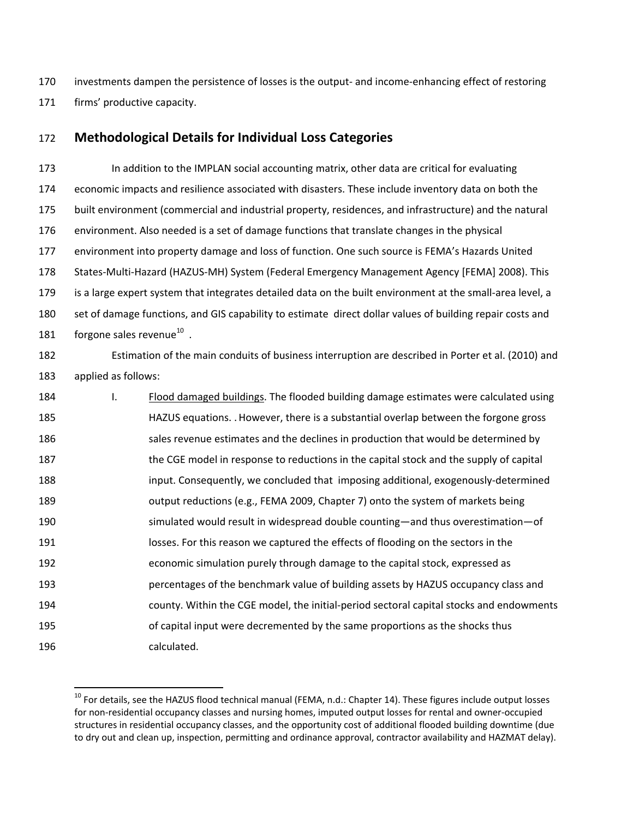170 investments dampen the persistence of losses is the output- and income-enhancing effect of restoring 171 firms' productive capacity.

# 172 **Methodological Details for Individual Loss Categories**

173 In addition to the IMPLAN social accounting matrix, other data are critical for evaluating 174 economic impacts and resilience associated with disasters. These include inventory data on both the 175 built environment (commercial and industrial property, residences, and infrastructure) and the natural 176 environment. Also needed is a set of damage functions that translate changes in the physical 177 environment into property damage and loss of function. One such source is FEMA's Hazards United 178 States-Multi-Hazard (HAZUS-MH) System (Federal Emergency Management Agency [FEMA] 2008). This 179 is a large expert system that integrates detailed data on the built environment at the small-area level, a 180 set of damage functions, and GIS capability to estimate direct dollar values of building repair costs and 181 forgone sales revenue<sup>10</sup>.

182 Estimation of the main conduits of business interruption are described in Porter et al. (2010) and 183 applied as follows:

184 I. Flood damaged buildings. The flooded building damage estimates were calculated using 185 HAZUS equations. .However, there is a substantial overlap between the forgone gross 186 sales revenue estimates and the declines in production that would be determined by 187 the CGE model in response to reductions in the capital stock and the supply of capital 188 input. Consequently, we concluded that imposing additional, exogenously-determined 189 output reductions (e.g., FEMA 2009, Chapter 7) onto the system of markets being 190 simulated would result in widespread double counting—and thus overestimation—of 191 losses. For this reason we captured the effects of flooding on the sectors in the 192 economic simulation purely through damage to the capital stock, expressed as 193 percentages of the benchmark value of building assets by HAZUS occupancy class and 194 county. Within the CGE model, the initial-period sectoral capital stocks and endowments 195 of capital input were decremented by the same proportions as the shocks thus 196 calculated.

 $\overline{a}$ 

 $^{10}$  For details, see the HAZUS flood technical manual (FEMA, n.d.: Chapter 14). These figures include output losses for non-residential occupancy classes and nursing homes, imputed output losses for rental and owner-occupied structures in residential occupancy classes, and the opportunity cost of additional flooded building downtime (due to dry out and clean up, inspection, permitting and ordinance approval, contractor availability and HAZMAT delay).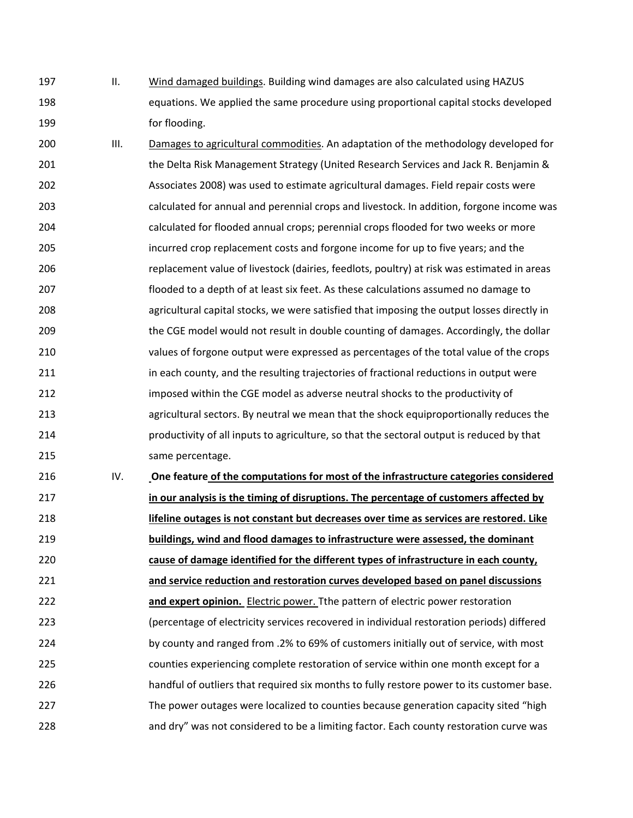- 197 II. Wind damaged buildings. Building wind damages are also calculated using HAZUS 198 equations. We applied the same procedure using proportional capital stocks developed 199 **for flooding.**
- 200 III. Damages to agricultural commodities. An adaptation of the methodology developed for 201 the Delta Risk Management Strategy (United Research Services and Jack R. Benjamin & 202 Associates 2008) was used to estimate agricultural damages. Field repair costs were 203 calculated for annual and perennial crops and livestock. In addition, forgone income was 204 calculated for flooded annual crops; perennial crops flooded for two weeks or more 205 incurred crop replacement costs and forgone income for up to five years; and the 206 replacement value of livestock (dairies, feedlots, poultry) at risk was estimated in areas 207 flooded to a depth of at least six feet. As these calculations assumed no damage to 208 agricultural capital stocks, we were satisfied that imposing the output losses directly in 209 the CGE model would not result in double counting of damages. Accordingly, the dollar 210 values of forgone output were expressed as percentages of the total value of the crops 211 in each county, and the resulting trajectories of fractional reductions in output were 212 imposed within the CGE model as adverse neutral shocks to the productivity of 213 agricultural sectors. By neutral we mean that the shock equiproportionally reduces the 214 productivity of all inputs to agriculture, so that the sectoral output is reduced by that 215 **Same percentage.**
- 216 IV. **One feature of the computations for most of the infrastructure categories considered**  217 **in our analysis is the timing of disruptions. The percentage of customers affected by**  218 **lifeline outages is not constant but decreases over time as services are restored. Like**  219 **buildings, wind and flood damages to infrastructure were assessed, the dominant**  220 **cause of damage identified for the different types of infrastructure in each county,**  221 **and service reduction and restoration curves developed based on panel discussions**  222 **and expert opinion.** Electric power. Tthe pattern of electric power restoration 223 (percentage of electricity services recovered in individual restoration periods) differed 224 by county and ranged from .2% to 69% of customers initially out of service, with most 225 counties experiencing complete restoration of service within one month except for a 226 handful of outliers that required six months to fully restore power to its customer base. 227 The power outages were localized to counties because generation capacity sited "high 228 and dry" was not considered to be a limiting factor. Each county restoration curve was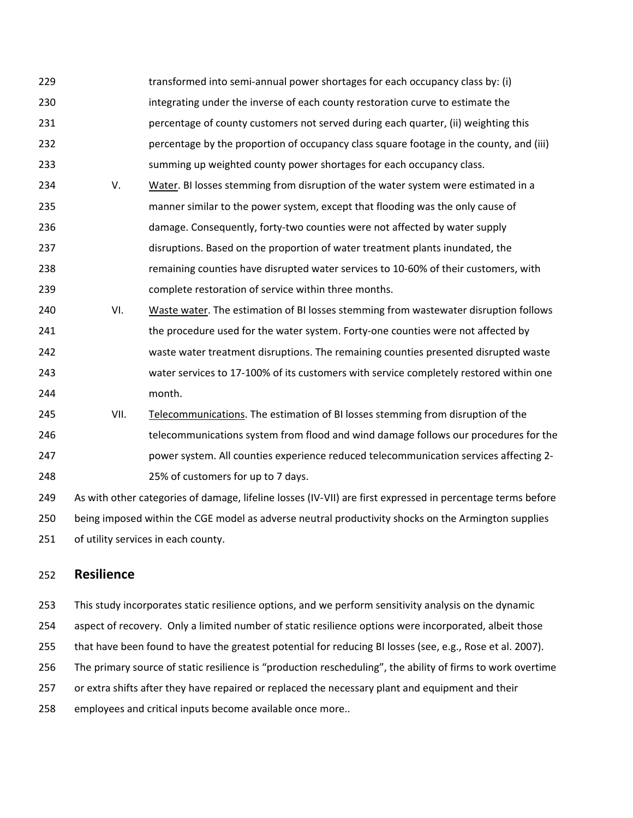- 229 transformed into semi-annual power shortages for each occupancy class by: (i) 230 integrating under the inverse of each county restoration curve to estimate the 231 percentage of county customers not served during each quarter, (ii) weighting this 232 percentage by the proportion of occupancy class square footage in the county, and (iii) 233 summing up weighted county power shortages for each occupancy class. 234 V. Water. BI losses stemming from disruption of the water system were estimated in a 235 manner similar to the power system, except that flooding was the only cause of 236 damage. Consequently, forty-two counties were not affected by water supply 237 disruptions. Based on the proportion of water treatment plants inundated, the 238 remaining counties have disrupted water services to 10-60% of their customers, with 239 complete restoration of service within three months. 240 VI. Waste water. The estimation of BI losses stemming from wastewater disruption follows 241 the procedure used for the water system. Forty-one counties were not affected by 242 waste water treatment disruptions. The remaining counties presented disrupted waste 243 water services to 17-100% of its customers with service completely restored within one 244 month.
- 245 VII. Telecommunications. The estimation of BI losses stemming from disruption of the 246 telecommunications system from flood and wind damage follows our procedures for the 247 power system. All counties experience reduced telecommunication services affecting 2- 248 25% of customers for up to 7 days.

249 As with other categories of damage, lifeline losses (IV-VII) are first expressed in percentage terms before 250 being imposed within the CGE model as adverse neutral productivity shocks on the Armington supplies 251 of utility services in each county.

### 252 **Resilience**

253 This study incorporates static resilience options, and we perform sensitivity analysis on the dynamic 254 aspect of recovery. Only a limited number of static resilience options were incorporated, albeit those 255 that have been found to have the greatest potential for reducing BI losses (see, e.g., Rose et al. 2007). 256 The primary source of static resilience is "production rescheduling", the ability of firms to work overtime 257 or extra shifts after they have repaired or replaced the necessary plant and equipment and their 258 employees and critical inputs become available once more..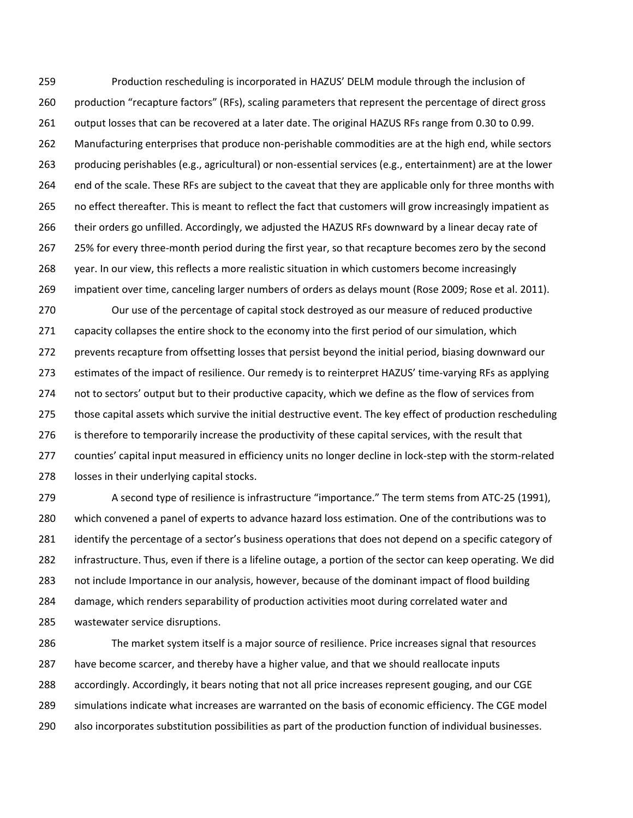259 Production rescheduling is incorporated in HAZUS' DELM module through the inclusion of 260 production "recapture factors" (RFs), scaling parameters that represent the percentage of direct gross 261 output losses that can be recovered at a later date. The original HAZUS RFs range from 0.30 to 0.99. 262 Manufacturing enterprises that produce non-perishable commodities are at the high end, while sectors 263 producing perishables (e.g., agricultural) or non-essential services (e.g., entertainment) are at the lower 264 end of the scale. These RFs are subject to the caveat that they are applicable only for three months with 265 no effect thereafter. This is meant to reflect the fact that customers will grow increasingly impatient as 266 their orders go unfilled. Accordingly, we adjusted the HAZUS RFs downward by a linear decay rate of 267 25% for every three-month period during the first year, so that recapture becomes zero by the second 268 year. In our view, this reflects a more realistic situation in which customers become increasingly 269 impatient over time, canceling larger numbers of orders as delays mount (Rose 2009; Rose et al. 2011).

270 Our use of the percentage of capital stock destroyed as our measure of reduced productive 271 capacity collapses the entire shock to the economy into the first period of our simulation, which 272 prevents recapture from offsetting losses that persist beyond the initial period, biasing downward our 273 estimates of the impact of resilience. Our remedy is to reinterpret HAZUS' time-varying RFs as applying 274 not to sectors' output but to their productive capacity, which we define as the flow of services from 275 those capital assets which survive the initial destructive event. The key effect of production rescheduling 276 is therefore to temporarily increase the productivity of these capital services, with the result that 277 counties' capital input measured in efficiency units no longer decline in lock-step with the storm-related 278 losses in their underlying capital stocks.

279 A second type of resilience is infrastructure "importance." The term stems from ATC-25 (1991), 280 which convened a panel of experts to advance hazard loss estimation. One of the contributions was to 281 identify the percentage of a sector's business operations that does not depend on a specific category of 282 infrastructure. Thus, even if there is a lifeline outage, a portion of the sector can keep operating. We did 283 not include Importance in our analysis, however, because of the dominant impact of flood building 284 damage, which renders separability of production activities moot during correlated water and 285 wastewater service disruptions.

286 The market system itself is a major source of resilience. Price increases signal that resources 287 have become scarcer, and thereby have a higher value, and that we should reallocate inputs 288 accordingly. Accordingly, it bears noting that not all price increases represent gouging, and our CGE 289 simulations indicate what increases are warranted on the basis of economic efficiency. The CGE model 290 also incorporates substitution possibilities as part of the production function of individual businesses.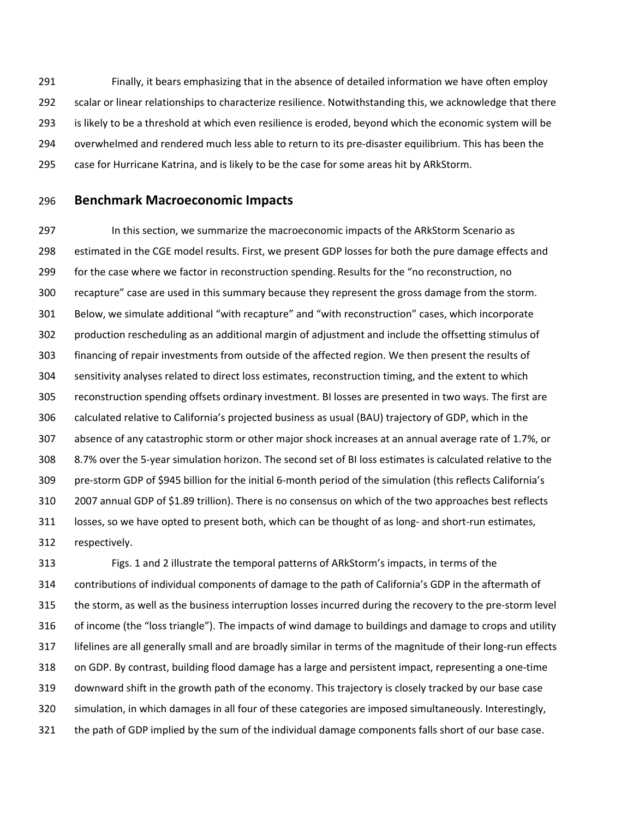291 Finally, it bears emphasizing that in the absence of detailed information we have often employ 292 scalar or linear relationships to characterize resilience. Notwithstanding this, we acknowledge that there 293 is likely to be a threshold at which even resilience is eroded, beyond which the economic system will be 294 overwhelmed and rendered much less able to return to its pre-disaster equilibrium. This has been the 295 case for Hurricane Katrina, and is likely to be the case for some areas hit by ARkStorm.

#### 296 **Benchmark Macroeconomic Impacts**

297 In this section, we summarize the macroeconomic impacts of the ARkStorm Scenario as 298 estimated in the CGE model results. First, we present GDP losses for both the pure damage effects and 299 for the case where we factor in reconstruction spending. Results for the "no reconstruction, no 300 recapture" case are used in this summary because they represent the gross damage from the storm. 301 Below, we simulate additional "with recapture" and "with reconstruction" cases, which incorporate 302 production rescheduling as an additional margin of adjustment and include the offsetting stimulus of 303 financing of repair investments from outside of the affected region. We then present the results of 304 sensitivity analyses related to direct loss estimates, reconstruction timing, and the extent to which 305 reconstruction spending offsets ordinary investment. BI losses are presented in two ways. The first are 306 calculated relative to California's projected business as usual (BAU) trajectory of GDP, which in the 307 absence of any catastrophic storm or other major shock increases at an annual average rate of 1.7%, or 308 8.7% over the 5-year simulation horizon. The second set of BI loss estimates is calculated relative to the 309 pre-storm GDP of \$945 billion for the initial 6-month period of the simulation (this reflects California's 310 2007 annual GDP of \$1.89 trillion). There is no consensus on which of the two approaches best reflects 311 losses, so we have opted to present both, which can be thought of as long- and short-run estimates, 312 respectively.

313 Figs. 1 and 2 illustrate the temporal patterns of ARkStorm's impacts, in terms of the 314 contributions of individual components of damage to the path of California's GDP in the aftermath of 315 the storm, as well as the business interruption losses incurred during the recovery to the pre-storm level 316 of income (the "loss triangle"). The impacts of wind damage to buildings and damage to crops and utility 317 lifelines are all generally small and are broadly similar in terms of the magnitude of their long-run effects 318 on GDP. By contrast, building flood damage has a large and persistent impact, representing a one-time 319 downward shift in the growth path of the economy. This trajectory is closely tracked by our base case 320 simulation, in which damages in all four of these categories are imposed simultaneously. Interestingly, 321 the path of GDP implied by the sum of the individual damage components falls short of our base case.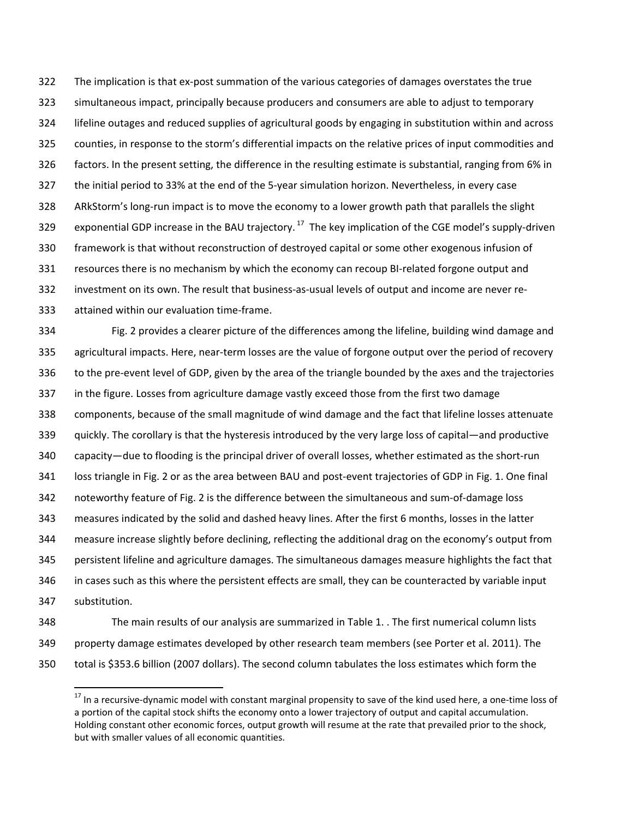322 The implication is that ex-post summation of the various categories of damages overstates the true 323 simultaneous impact, principally because producers and consumers are able to adjust to temporary 324 lifeline outages and reduced supplies of agricultural goods by engaging in substitution within and across 325 counties, in response to the storm's differential impacts on the relative prices of input commodities and 326 factors. In the present setting, the difference in the resulting estimate is substantial, ranging from 6% in 327 the initial period to 33% at the end of the 5-year simulation horizon. Nevertheless, in every case 328 ARkStorm's long-run impact is to move the economy to a lower growth path that parallels the slight 329 exponential GDP increase in the BAU trajectory.<sup>17</sup> The key implication of the CGE model's supply-driven 330 framework is that without reconstruction of destroyed capital or some other exogenous infusion of 331 resources there is no mechanism by which the economy can recoup BI-related forgone output and 332 investment on its own. The result that business-as-usual levels of output and income are never re-333 attained within our evaluation time-frame.

334 Fig. 2 provides a clearer picture of the differences among the lifeline, building wind damage and 335 agricultural impacts. Here, near-term losses are the value of forgone output over the period of recovery 336 to the pre-event level of GDP, given by the area of the triangle bounded by the axes and the trajectories 337 in the figure. Losses from agriculture damage vastly exceed those from the first two damage 338 components, because of the small magnitude of wind damage and the fact that lifeline losses attenuate 339 quickly. The corollary is that the hysteresis introduced by the very large loss of capital—and productive 340 capacity—due to flooding is the principal driver of overall losses, whether estimated as the short-run 341 loss triangle in Fig. 2 or as the area between BAU and post-event trajectories of GDP in Fig. 1. One final 342 noteworthy feature of Fig. 2 is the difference between the simultaneous and sum-of-damage loss 343 measures indicated by the solid and dashed heavy lines. After the first 6 months, losses in the latter 344 measure increase slightly before declining, reflecting the additional drag on the economy's output from 345 persistent lifeline and agriculture damages. The simultaneous damages measure highlights the fact that 346 in cases such as this where the persistent effects are small, they can be counteracted by variable input 347 substitution.

348 The main results of our analysis are summarized in Table 1. . The first numerical column lists 349 property damage estimates developed by other research team members (see Porter et al. 2011). The 350 total is \$353.6 billion (2007 dollars). The second column tabulates the loss estimates which form the

1

<sup>&</sup>lt;sup>17</sup> In a recursive-dynamic model with constant marginal propensity to save of the kind used here, a one-time loss of a portion of the capital stock shifts the economy onto a lower trajectory of output and capital accumulation. Holding constant other economic forces, output growth will resume at the rate that prevailed prior to the shock, but with smaller values of all economic quantities.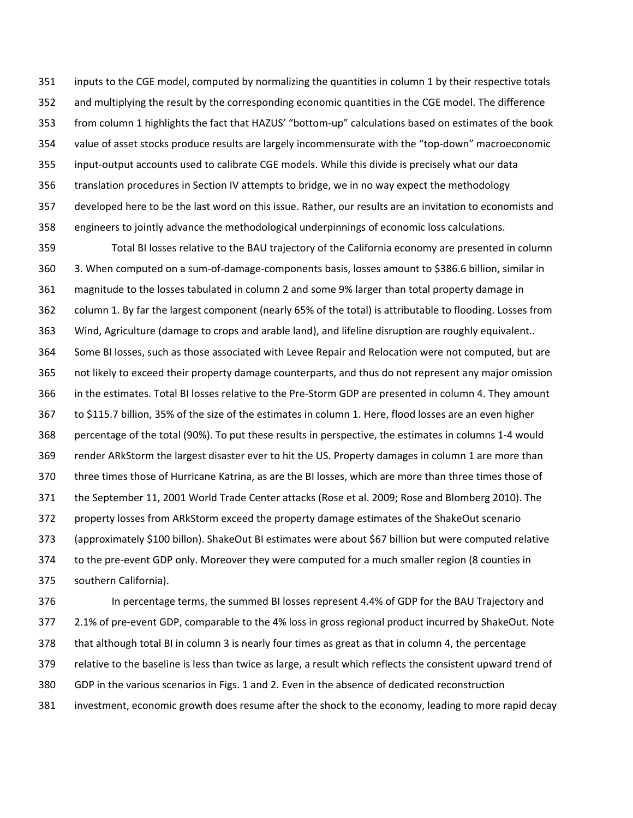351 inputs to the CGE model, computed by normalizing the quantities in column 1 by their respective totals 352 and multiplying the result by the corresponding economic quantities in the CGE model. The difference 353 from column 1 highlights the fact that HAZUS' "bottom-up" calculations based on estimates of the book 354 value of asset stocks produce results are largely incommensurate with the "top-down" macroeconomic 355 input-output accounts used to calibrate CGE models. While this divide is precisely what our data 356 translation procedures in Section IV attempts to bridge, we in no way expect the methodology 357 developed here to be the last word on this issue. Rather, our results are an invitation to economists and 358 engineers to jointly advance the methodological underpinnings of economic loss calculations.

359 Total BI losses relative to the BAU trajectory of the California economy are presented in column 360 3. When computed on a sum-of-damage-components basis, losses amount to \$386.6 billion, similar in 361 magnitude to the losses tabulated in column 2 and some 9% larger than total property damage in 362 column 1. By far the largest component (nearly 65% of the total) is attributable to flooding. Losses from 363 Wind, Agriculture (damage to crops and arable land), and lifeline disruption are roughly equivalent.. 364 Some BI losses, such as those associated with Levee Repair and Relocation were not computed, but are 365 not likely to exceed their property damage counterparts, and thus do not represent any major omission 366 in the estimates. Total BI losses relative to the Pre-Storm GDP are presented in column 4. They amount 367 to \$115.7 billion, 35% of the size of the estimates in column 1. Here, flood losses are an even higher 368 percentage of the total (90%). To put these results in perspective, the estimates in columns 1-4 would 369 render ARkStorm the largest disaster ever to hit the US. Property damages in column 1 are more than 370 three times those of Hurricane Katrina, as are the BI losses, which are more than three times those of 371 the September 11, 2001 World Trade Center attacks (Rose et al. 2009; Rose and Blomberg 2010). The 372 property losses from ARkStorm exceed the property damage estimates of the ShakeOut scenario 373 (approximately \$100 billon). ShakeOut BI estimates were about \$67 billion but were computed relative 374 to the pre-event GDP only. Moreover they were computed for a much smaller region (8 counties in 375 southern California).

376 In percentage terms, the summed BI losses represent 4.4% of GDP for the BAU Trajectory and 377 2.1% of pre-event GDP, comparable to the 4% loss in gross regional product incurred by ShakeOut. Note 378 that although total BI in column 3 is nearly four times as great as that in column 4, the percentage 379 relative to the baseline is less than twice as large, a result which reflects the consistent upward trend of 380 GDP in the various scenarios in Figs. 1 and 2. Even in the absence of dedicated reconstruction 381 investment, economic growth does resume after the shock to the economy, leading to more rapid decay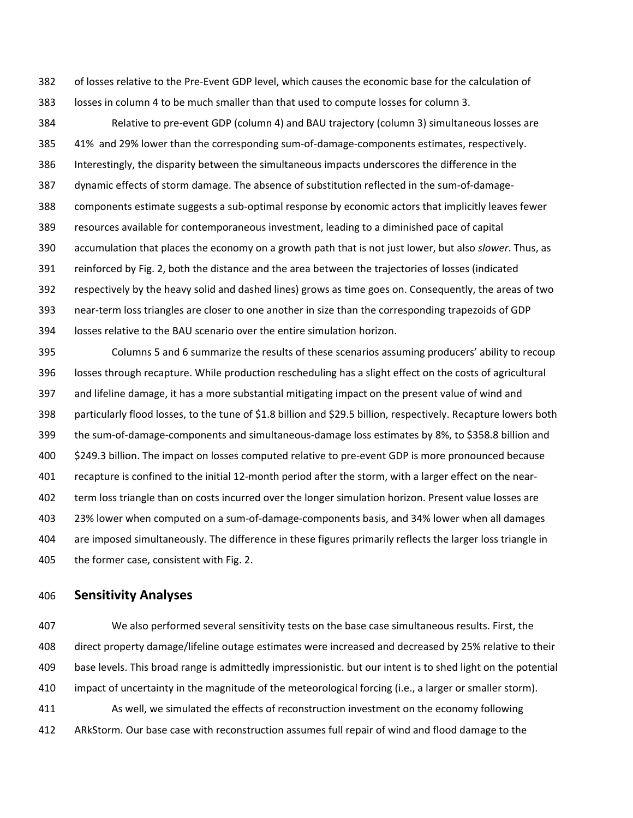382 of losses relative to the Pre-Event GDP level, which causes the economic base for the calculation of 383 losses in column 4 to be much smaller than that used to compute losses for column 3.

384 Relative to pre-event GDP (column 4) and BAU trajectory (column 3) simultaneous losses are 385 41% and 29% lower than the corresponding sum-of-damage-components estimates, respectively. 386 Interestingly, the disparity between the simultaneous impacts underscores the difference in the 387 dynamic effects of storm damage. The absence of substitution reflected in the sum-of-damage-388 components estimate suggests a sub-optimal response by economic actors that implicitly leaves fewer 389 resources available for contemporaneous investment, leading to a diminished pace of capital 390 accumulation that places the economy on a growth path that is not just lower, but also *slower*. Thus, as 391 reinforced by Fig. 2, both the distance and the area between the trajectories of losses (indicated 392 respectively by the heavy solid and dashed lines) grows as time goes on. Consequently, the areas of two 393 near-term loss triangles are closer to one another in size than the corresponding trapezoids of GDP 394 losses relative to the BAU scenario over the entire simulation horizon.

395 Columns 5 and 6 summarize the results of these scenarios assuming producers' ability to recoup 396 losses through recapture. While production rescheduling has a slight effect on the costs of agricultural 397 and lifeline damage, it has a more substantial mitigating impact on the present value of wind and 398 particularly flood losses, to the tune of \$1.8 billion and \$29.5 billion, respectively. Recapture lowers both 399 the sum-of-damage-components and simultaneous-damage loss estimates by 8%, to \$358.8 billion and 400 \$249.3 billion. The impact on losses computed relative to pre-event GDP is more pronounced because 401 recapture is confined to the initial 12-month period after the storm, with a larger effect on the near-402 term loss triangle than on costs incurred over the longer simulation horizon. Present value losses are 403 23% lower when computed on a sum-of-damage-components basis, and 34% lower when all damages 404 are imposed simultaneously. The difference in these figures primarily reflects the larger loss triangle in 405 the former case, consistent with Fig. 2.

#### 406 **Sensitivity Analyses**

407 We also performed several sensitivity tests on the base case simultaneous results. First, the 408 direct property damage/lifeline outage estimates were increased and decreased by 25% relative to their 409 base levels. This broad range is admittedly impressionistic. but our intent is to shed light on the potential 410 impact of uncertainty in the magnitude of the meteorological forcing (i.e., a larger or smaller storm). 411 As well, we simulated the effects of reconstruction investment on the economy following 412 ARkStorm. Our base case with reconstruction assumes full repair of wind and flood damage to the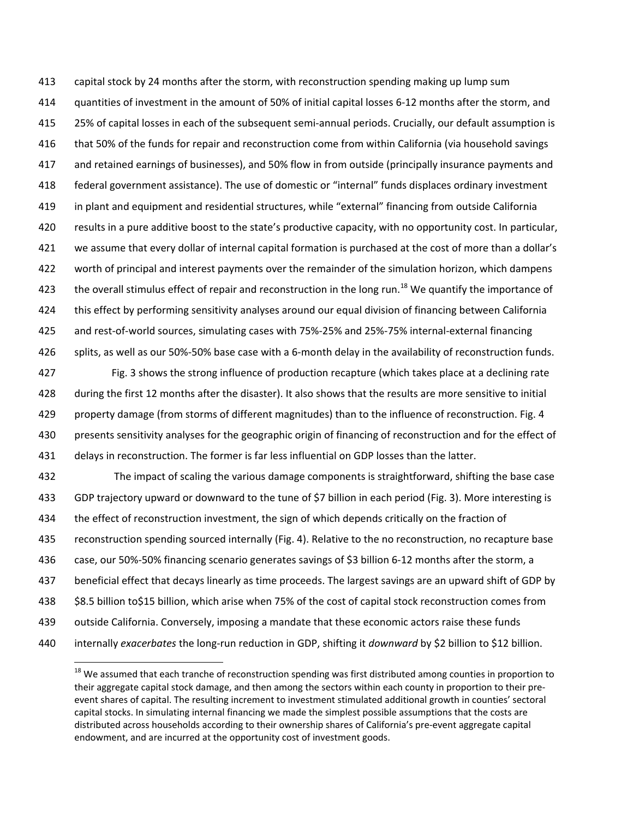413 capital stock by 24 months after the storm, with reconstruction spending making up lump sum 414 quantities of investment in the amount of 50% of initial capital losses 6-12 months after the storm, and 415 25% of capital losses in each of the subsequent semi-annual periods. Crucially, our default assumption is 416 that 50% of the funds for repair and reconstruction come from within California (via household savings 417 and retained earnings of businesses), and 50% flow in from outside (principally insurance payments and 418 federal government assistance). The use of domestic or "internal" funds displaces ordinary investment 419 in plant and equipment and residential structures, while "external" financing from outside California 420 results in a pure additive boost to the state's productive capacity, with no opportunity cost. In particular, 421 we assume that every dollar of internal capital formation is purchased at the cost of more than a dollar's 422 worth of principal and interest payments over the remainder of the simulation horizon, which dampens 423 the overall stimulus effect of repair and reconstruction in the long run.<sup>18</sup> We quantify the importance of 424 this effect by performing sensitivity analyses around our equal division of financing between California 425 and rest-of-world sources, simulating cases with 75%-25% and 25%-75% internal-external financing 426 splits, as well as our 50%-50% base case with a 6-month delay in the availability of reconstruction funds.

427 Fig. 3 shows the strong influence of production recapture (which takes place at a declining rate 428 during the first 12 months after the disaster). It also shows that the results are more sensitive to initial 429 property damage (from storms of different magnitudes) than to the influence of reconstruction. Fig. 4 430 presents sensitivity analyses for the geographic origin of financing of reconstruction and for the effect of 431 delays in reconstruction. The former is far less influential on GDP losses than the latter.

432 The impact of scaling the various damage components is straightforward, shifting the base case 433 GDP trajectory upward or downward to the tune of \$7 billion in each period (Fig. 3). More interesting is 434 the effect of reconstruction investment, the sign of which depends critically on the fraction of 435 reconstruction spending sourced internally (Fig. 4). Relative to the no reconstruction, no recapture base 436 case, our 50%-50% financing scenario generates savings of \$3 billion 6-12 months after the storm, a 437 beneficial effect that decays linearly as time proceeds. The largest savings are an upward shift of GDP by 438 \$8.5 billion to\$15 billion, which arise when 75% of the cost of capital stock reconstruction comes from 439 outside California. Conversely, imposing a mandate that these economic actors raise these funds 440 internally *exacerbates* the long-run reduction in GDP, shifting it *downward* by \$2 billion to \$12 billion.

1

<sup>&</sup>lt;sup>18</sup> We assumed that each tranche of reconstruction spending was first distributed among counties in proportion to their aggregate capital stock damage, and then among the sectors within each county in proportion to their preevent shares of capital. The resulting increment to investment stimulated additional growth in counties' sectoral capital stocks. In simulating internal financing we made the simplest possible assumptions that the costs are distributed across households according to their ownership shares of California's pre-event aggregate capital endowment, and are incurred at the opportunity cost of investment goods.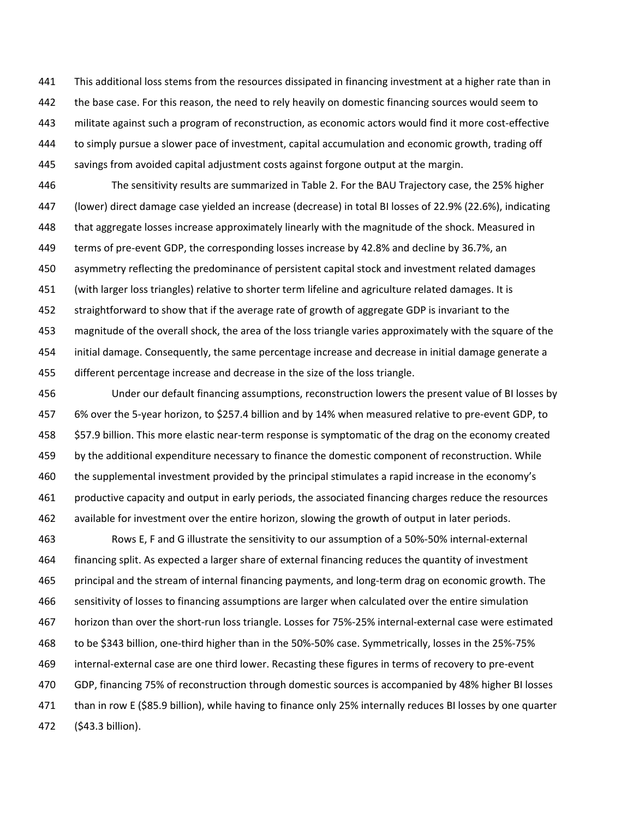441 This additional loss stems from the resources dissipated in financing investment at a higher rate than in 442 the base case. For this reason, the need to rely heavily on domestic financing sources would seem to 443 militate against such a program of reconstruction, as economic actors would find it more cost-effective 444 to simply pursue a slower pace of investment, capital accumulation and economic growth, trading off 445 savings from avoided capital adjustment costs against forgone output at the margin.

446 The sensitivity results are summarized in Table 2. For the BAU Trajectory case, the 25% higher 447 (lower) direct damage case yielded an increase (decrease) in total BI losses of 22.9% (22.6%), indicating 448 that aggregate losses increase approximately linearly with the magnitude of the shock. Measured in 449 terms of pre-event GDP, the corresponding losses increase by 42.8% and decline by 36.7%, an 450 asymmetry reflecting the predominance of persistent capital stock and investment related damages 451 (with larger loss triangles) relative to shorter term lifeline and agriculture related damages. It is 452 straightforward to show that if the average rate of growth of aggregate GDP is invariant to the 453 magnitude of the overall shock, the area of the loss triangle varies approximately with the square of the 454 initial damage. Consequently, the same percentage increase and decrease in initial damage generate a 455 different percentage increase and decrease in the size of the loss triangle.

456 Under our default financing assumptions, reconstruction lowers the present value of BI losses by 457 6% over the 5-year horizon, to \$257.4 billion and by 14% when measured relative to pre-event GDP, to 458 \$57.9 billion. This more elastic near-term response is symptomatic of the drag on the economy created 459 by the additional expenditure necessary to finance the domestic component of reconstruction. While 460 the supplemental investment provided by the principal stimulates a rapid increase in the economy's 461 productive capacity and output in early periods, the associated financing charges reduce the resources 462 available for investment over the entire horizon, slowing the growth of output in later periods.

463 Rows E, F and G illustrate the sensitivity to our assumption of a 50%-50% internal-external 464 financing split. As expected a larger share of external financing reduces the quantity of investment 465 principal and the stream of internal financing payments, and long-term drag on economic growth. The 466 sensitivity of losses to financing assumptions are larger when calculated over the entire simulation 467 horizon than over the short-run loss triangle. Losses for 75%-25% internal-external case were estimated 468 to be \$343 billion, one-third higher than in the 50%-50% case. Symmetrically, losses in the 25%-75% 469 internal-external case are one third lower. Recasting these figures in terms of recovery to pre-event 470 GDP, financing 75% of reconstruction through domestic sources is accompanied by 48% higher BI losses 471 than in row E (\$85.9 billion), while having to finance only 25% internally reduces BI losses by one quarter 472 (\$43.3 billion).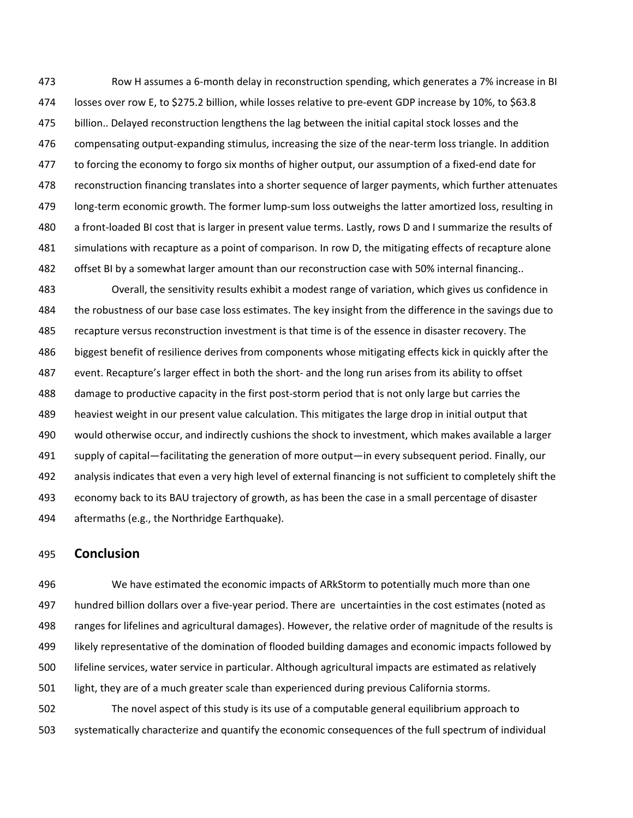473 Row H assumes a 6-month delay in reconstruction spending, which generates a 7% increase in BI 474 losses over row E, to \$275.2 billion, while losses relative to pre-event GDP increase by 10%, to \$63.8 475 billion.. Delayed reconstruction lengthens the lag between the initial capital stock losses and the 476 compensating output-expanding stimulus, increasing the size of the near-term loss triangle. In addition 477 to forcing the economy to forgo six months of higher output, our assumption of a fixed-end date for 478 reconstruction financing translates into a shorter sequence of larger payments, which further attenuates 479 long-term economic growth. The former lump-sum loss outweighs the latter amortized loss, resulting in 480 a front-loaded BI cost that is larger in present value terms. Lastly, rows D and I summarize the results of 481 simulations with recapture as a point of comparison. In row D, the mitigating effects of recapture alone 482 offset BI by a somewhat larger amount than our reconstruction case with 50% internal financing..

483 Overall, the sensitivity results exhibit a modest range of variation, which gives us confidence in 484 the robustness of our base case loss estimates. The key insight from the difference in the savings due to 485 recapture versus reconstruction investment is that time is of the essence in disaster recovery. The 486 biggest benefit of resilience derives from components whose mitigating effects kick in quickly after the 487 event. Recapture's larger effect in both the short- and the long run arises from its ability to offset 488 damage to productive capacity in the first post-storm period that is not only large but carries the 489 heaviest weight in our present value calculation. This mitigates the large drop in initial output that 490 would otherwise occur, and indirectly cushions the shock to investment, which makes available a larger 491 supply of capital—facilitating the generation of more output—in every subsequent period. Finally, our 492 analysis indicates that even a very high level of external financing is not sufficient to completely shift the 493 economy back to its BAU trajectory of growth, as has been the case in a small percentage of disaster 494 aftermaths (e.g., the Northridge Earthquake).

#### 495 **Conclusion**

496 We have estimated the economic impacts of ARkStorm to potentially much more than one 497 hundred billion dollars over a five-year period. There are uncertainties in the cost estimates (noted as 498 ranges for lifelines and agricultural damages). However, the relative order of magnitude of the results is 499 likely representative of the domination of flooded building damages and economic impacts followed by 500 lifeline services, water service in particular. Although agricultural impacts are estimated as relatively 501 light, they are of a much greater scale than experienced during previous California storms. 502 The novel aspect of this study is its use of a computable general equilibrium approach to

503 systematically characterize and quantify the economic consequences of the full spectrum of individual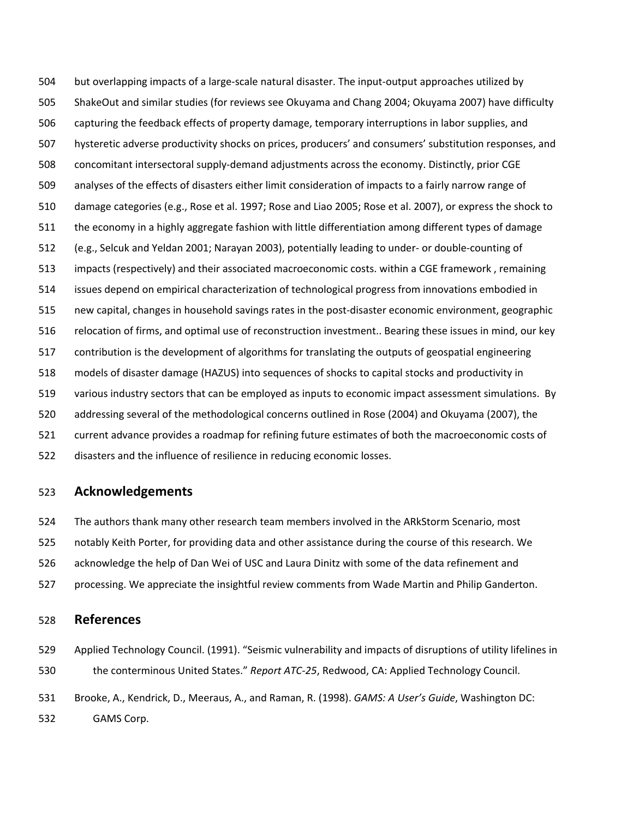504 but overlapping impacts of a large-scale natural disaster. The input-output approaches utilized by 505 ShakeOut and similar studies (for reviews see Okuyama and Chang 2004; Okuyama 2007) have difficulty 506 capturing the feedback effects of property damage, temporary interruptions in labor supplies, and 507 hysteretic adverse productivity shocks on prices, producers' and consumers' substitution responses, and 508 concomitant intersectoral supply-demand adjustments across the economy. Distinctly, prior CGE 509 analyses of the effects of disasters either limit consideration of impacts to a fairly narrow range of 510 damage categories (e.g., Rose et al. 1997; Rose and Liao 2005; Rose et al. 2007), or express the shock to 511 the economy in a highly aggregate fashion with little differentiation among different types of damage 512 (e.g., Selcuk and Yeldan 2001; Narayan 2003), potentially leading to under- or double-counting of 513 impacts (respectively) and their associated macroeconomic costs. within a CGE framework , remaining 514 issues depend on empirical characterization of technological progress from innovations embodied in 515 new capital, changes in household savings rates in the post-disaster economic environment, geographic 516 relocation of firms, and optimal use of reconstruction investment.. Bearing these issues in mind, our key 517 contribution is the development of algorithms for translating the outputs of geospatial engineering 518 models of disaster damage (HAZUS) into sequences of shocks to capital stocks and productivity in 519 various industry sectors that can be employed as inputs to economic impact assessment simulations. By 520 addressing several of the methodological concerns outlined in Rose (2004) and Okuyama (2007), the 521 current advance provides a roadmap for refining future estimates of both the macroeconomic costs of 522 disasters and the influence of resilience in reducing economic losses.

# 523 **Acknowledgements**

524 The authors thank many other research team members involved in the ARkStorm Scenario, most 525 notably Keith Porter, for providing data and other assistance during the course of this research. We 526 acknowledge the help of Dan Wei of USC and Laura Dinitz with some of the data refinement and 527 processing. We appreciate the insightful review comments from Wade Martin and Philip Ganderton.

### 528 **References**

- 529 Applied Technology Council. (1991). "Seismic vulnerability and impacts of disruptions of utility lifelines in 530 the conterminous United States." *Report ATC-25*, Redwood, CA: Applied Technology Council.
- 531 Brooke, A., Kendrick, D., Meeraus, A., and Raman, R. (1998). *GAMS: A User's Guide*, Washington DC: 532 GAMS Corp.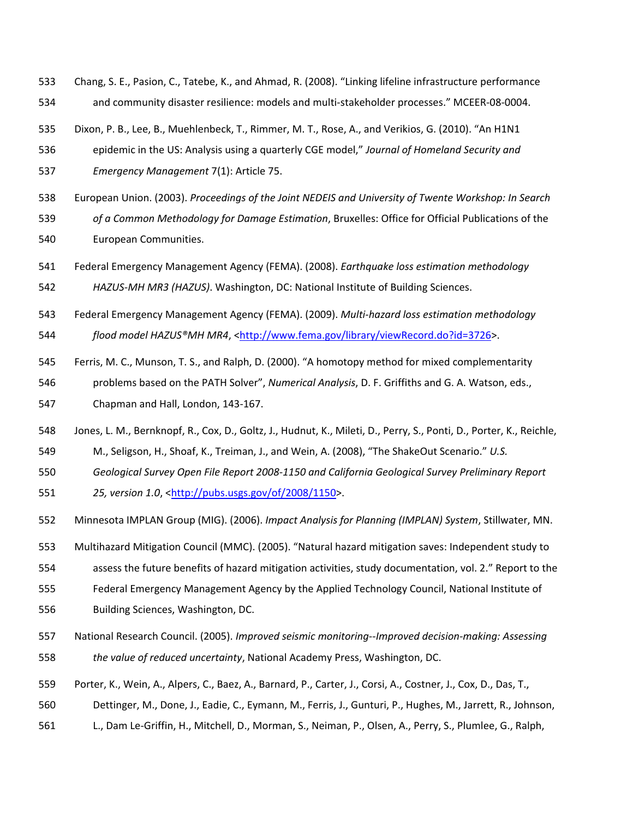- 533 Chang, S. E., Pasion, C., Tatebe, K., and Ahmad, R. (2008). "Linking lifeline infrastructure performance 534 and community disaster resilience: models and multi-stakeholder processes." MCEER-08-0004.
- 535 Dixon, P. B., Lee, B., Muehlenbeck, T., Rimmer, M. T., Rose, A., and Verikios, G. (2010). "An H1N1
- 536 epidemic in the US: Analysis using a quarterly CGE model," *Journal of Homeland Security and*
- 537 *Emergency Management* 7(1): Article 75.
- 538 European Union. (2003). *Proceedings of the Joint NEDEIS and University of Twente Workshop: In Search*
- 539 *of a Common Methodology for Damage Estimation*, Bruxelles: Office for Official Publications of the 540 European Communities.
- 541 Federal Emergency Management Agency (FEMA). (2008). *Earthquake loss estimation methodology*  542 *HAZUS-MH MR3 (HAZUS)*. Washington, DC: National Institute of Building Sciences.
- 543 Federal Emergency Management Agency (FEMA). (2009). *Multi-hazard loss estimation methodology*
- 544 *flood model HAZUS®MH MR4*, <http://www.fema.gov/library/viewRecord.do?id=3726>.
- 545 Ferris, M. C., Munson, T. S., and Ralph, D. (2000). "A homotopy method for mixed complementarity 546 problems based on the PATH Solver", *Numerical Analysis*, D. F. Griffiths and G. A. Watson, eds., 547 Chapman and Hall, London, 143-167.
- 548 Jones, L. M., Bernknopf, R., Cox, D., Goltz, J., Hudnut, K., Mileti, D., Perry, S., Ponti, D., Porter, K., Reichle,
- 549 M., Seligson, H., Shoaf, K., Treiman, J., and Wein, A. (2008), "The ShakeOut Scenario." *U.S.*
- 550 *Geological Survey Open File Report 2008-1150 and California Geological Survey Preliminary Report*
- 551 *25, version 1.0*, <http://pubs.usgs.gov/of/2008/1150>.
- 552 Minnesota IMPLAN Group (MIG). (2006). *Impact Analysis for Planning (IMPLAN) System*, Stillwater, MN.
- 553 Multihazard Mitigation Council (MMC). (2005). "Natural hazard mitigation saves: Independent study to
- 554 assess the future benefits of hazard mitigation activities, study documentation, vol. 2." Report to the
- 555 Federal Emergency Management Agency by the Applied Technology Council, National Institute of
- 556 Building Sciences, Washington, DC.
- 557 National Research Council. (2005). *Improved seismic monitoring--Improved decision-making: Assessing*  558 *the value of reduced uncertainty*, National Academy Press, Washington, DC.
- 559 Porter, K., Wein, A., Alpers, C., Baez, A., Barnard, P., Carter, J., Corsi, A., Costner, J., Cox, D., Das, T.,
- 560 Dettinger, M., Done, J., Eadie, C., Eymann, M., Ferris, J., Gunturi, P., Hughes, M., Jarrett, R., Johnson,
- 561 L., Dam Le-Griffin, H., Mitchell, D., Morman, S., Neiman, P., Olsen, A., Perry, S., Plumlee, G., Ralph,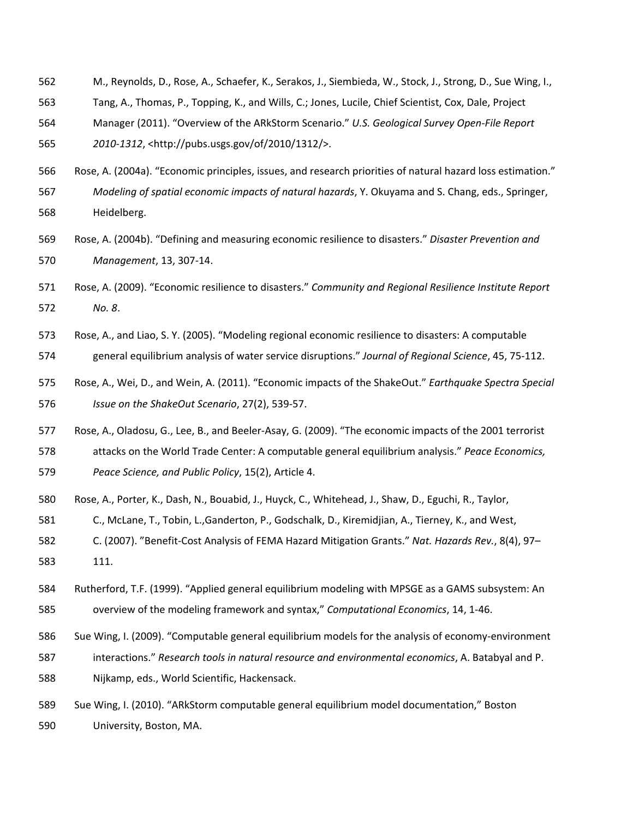- 562 M., Reynolds, D., Rose, A., Schaefer, K., Serakos, J., Siembieda, W., Stock, J., Strong, D., Sue Wing, I.,
- 563 Tang, A., Thomas, P., Topping, K., and Wills, C.; Jones, Lucile, Chief Scientist, Cox, Dale, Project
- 564 Manager (2011). "Overview of the ARkStorm Scenario." *U.S. Geological Survey Open-File Report*  565 *2010-1312*, <http://pubs.usgs.gov/of/2010/1312/>.
- 566 Rose, A. (2004a). "Economic principles, issues, and research priorities of natural hazard loss estimation." 567 *Modeling of spatial economic impacts of natural hazards*, Y. Okuyama and S. Chang, eds., Springer, 568 Heidelberg.
- 569 Rose, A. (2004b). "Defining and measuring economic resilience to disasters." *Disaster Prevention and*  570 *Management*, 13, 307-14.
- 571 Rose, A. (2009). "Economic resilience to disasters." *Community and Regional Resilience Institute Report*  572 *No. 8*.
- 573 Rose, A., and Liao, S. Y. (2005). "Modeling regional economic resilience to disasters: A computable
- 574 general equilibrium analysis of water service disruptions." *Journal of Regional Science*, 45, 75-112.
- 575 Rose, A., Wei, D., and Wein, A. (2011). "Economic impacts of the ShakeOut." *Earthquake Spectra Special*  576 *Issue on the ShakeOut Scenario*, 27(2), 539-57.
- 577 Rose, A., Oladosu, G., Lee, B., and Beeler-Asay, G. (2009). "The economic impacts of the 2001 terrorist

578 attacks on the World Trade Center: A computable general equilibrium analysis." *Peace Economics,*  579 *Peace Science, and Public Policy*, 15(2), Article 4.

- 580 Rose, A., Porter, K., Dash, N., Bouabid, J., Huyck, C., Whitehead, J., Shaw, D., Eguchi, R., Taylor,
- 581 C., McLane, T., Tobin, L.,Ganderton, P., Godschalk, D., Kiremidjian, A., Tierney, K., and West,
- 582 C. (2007). "Benefit-Cost Analysis of FEMA Hazard Mitigation Grants." *Nat. Hazards Rev.*, 8(4), 97–
- 583 111.
- 584 Rutherford, T.F. (1999). "Applied general equilibrium modeling with MPSGE as a GAMS subsystem: An 585 overview of the modeling framework and syntax," *Computational Economics*, 14, 1-46.
- 586 Sue Wing, I. (2009). "Computable general equilibrium models for the analysis of economy-environment
- 587 interactions." *Research tools in natural resource and environmental economics*, A. Batabyal and P.

588 Nijkamp, eds., World Scientific, Hackensack.

589 Sue Wing, I. (2010). "ARkStorm computable general equilibrium model documentation," Boston 590 University, Boston, MA.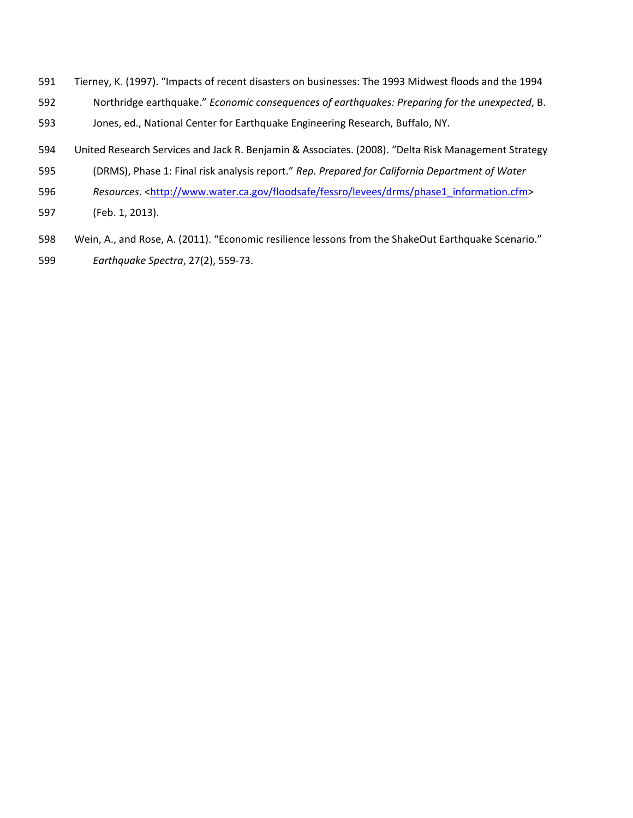- 591 Tierney, K. (1997). "Impacts of recent disasters on businesses: The 1993 Midwest floods and the 1994
- 592 Northridge earthquake." *Economic consequences of earthquakes: Preparing for the unexpected*, B.
- 593 Jones, ed., National Center for Earthquake Engineering Research, Buffalo, NY.
- 594 United Research Services and Jack R. Benjamin & Associates. (2008). "Delta Risk Management Strategy
- 595 (DRMS), Phase 1: Final risk analysis report." *Rep. Prepared for California Department of Water*
- 596 *Resources*. <http://www.water.ca.gov/floodsafe/fessro/levees/drms/phase1\_information.cfm>
- 597 (Feb. 1, 2013).
- 598 Wein, A., and Rose, A. (2011). "Economic resilience lessons from the ShakeOut Earthquake Scenario." 599 *Earthquake Spectra*, 27(2), 559-73.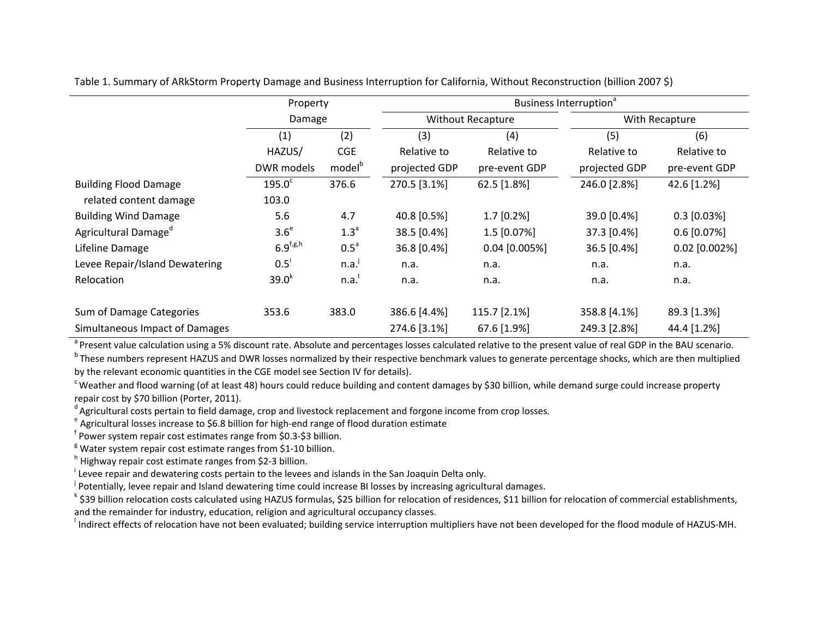|                                  | Property           |                    | Business Interruption <sup>a</sup> |                 |                |                 |  |
|----------------------------------|--------------------|--------------------|------------------------------------|-----------------|----------------|-----------------|--|
|                                  | Damage             |                    | Without Recapture                  |                 | With Recapture |                 |  |
|                                  | (1)                | (2)                | (3)                                | (4)             | (5)            | (6)             |  |
|                                  | HAZUS/             | <b>CGE</b>         | Relative to                        | Relative to     | Relative to    | Relative to     |  |
|                                  | DWR models         | model <sup>b</sup> | projected GDP                      | pre-event GDP   | projected GDP  | pre-event GDP   |  |
| <b>Building Flood Damage</b>     | 195.0 <sup>c</sup> | 376.6              | 270.5 [3.1%]                       | 62.5 [1.8%]     | 246.0 [2.8%]   | 42.6 [1.2%]     |  |
| related content damage           | 103.0              |                    |                                    |                 |                |                 |  |
| <b>Building Wind Damage</b>      | 5.6                | 4.7                | 40.8 [0.5%]                        | $1.7$ [0.2%]    | 39.0 [0.4%]    | $0.3$ [0.03%]   |  |
| Agricultural Damage <sup>d</sup> | 3.6 <sup>e</sup>   | 1.3 <sup>a</sup>   | 38.5 [0.4%]                        | 1.5 [0.07%]     | 37.3 [0.4%]    | $0.6$ [0.07%]   |  |
| Lifeline Damage                  | $6.9^{f,g,h}$      | 0.5 <sup>a</sup>   | 36.8 [0.4%]                        | $0.04$ [0.005%] | 36.5 [0.4%]    | $0.02$ [0.002%] |  |
| Levee Repair/Island Dewatering   | $0.5^{\circ}$      | n.a.               | n.a.                               | n.a.            | n.a.           | n.a.            |  |
| Relocation                       | $39.0^{k}$         | n.a.               | n.a.                               | n.a.            | n.a.           | n.a.            |  |
| Sum of Damage Categories         | 353.6              | 383.0              | 386.6 [4.4%]                       | 115.7 [2.1%]    | 358.8 [4.1%]   | 89.3 [1.3%]     |  |
| Simultaneous Impact of Damages   |                    |                    | 274.6 [3.1%]                       | 67.6 [1.9%]     | 249.3 [2.8%]   | 44.4 [1.2%]     |  |

Table 1. Summary of ARkStorm Property Damage and Business Interruption for California, Without Reconstruction (billion 2007 \$)

<sup>a</sup> Present value calculation using a 5% discount rate. Absolute and percentages losses calculated relative to the present value of real GDP in the BAU scenario.

<sup>b</sup> These numbers represent HAZUS and DWR losses normalized by their respective benchmark values to generate percentage shocks, which are then multiplied by the relevant economic quantities in the CGE model see Section IV for details).

<sup>c</sup> Weather and flood warning (of at least 48) hours could reduce building and content damages by \$30 billion, while demand surge could increase property repair cost by \$70 billion (Porter, 2011).

d Agricultural costs pertain to field damage, crop and livestock replacement and forgone income from crop losses.

 $e^e$  Agricultural losses increase to \$6.8 billion for high-end range of flood duration estimate

f Power system repair cost estimates range from \$0.3-\$3 billion.

 $8$  Water system repair cost estimate ranges from \$1-10 billion.

 $h$  Highway repair cost estimate ranges from \$2-3 billion.

<sup>i</sup> Levee repair and dewatering costs pertain to the levees and islands in the San Joaquin Delta only.

<sup>j</sup> Potentially, levee repair and Island dewatering time could increase BI losses by increasing agricultural damages.

k \$39 billion relocation costs calculated using HAZUS formulas, \$25 billion for relocation of residences, \$11 billion for relocation of commercial establishments, and the remainder for industry, education, religion and agricultural occupancy classes.

l Indirect effects of relocation have not been evaluated; building service interruption multipliers have not been developed for the flood module of HAZUS-MH.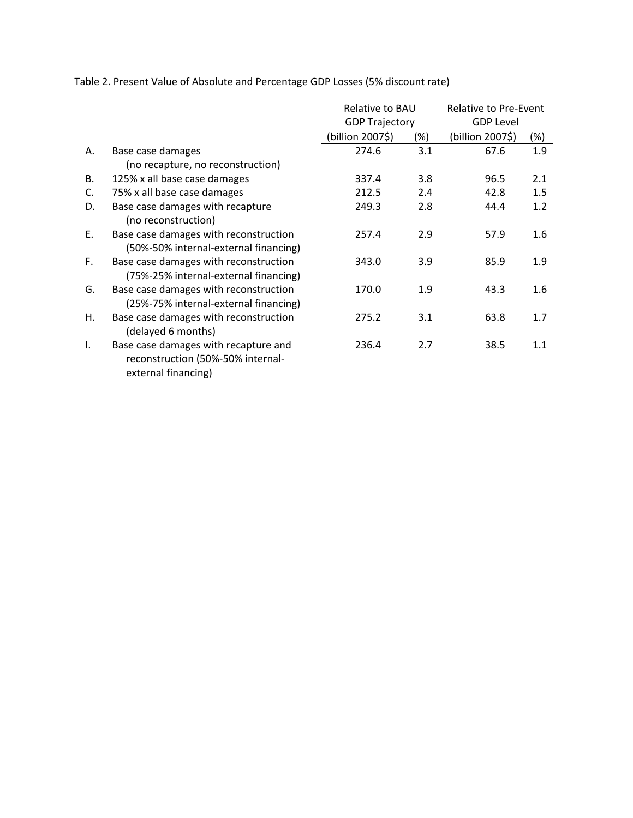|    |                                                                                                  | Relative to BAU       |     | Relative to Pre-Event |        |  |
|----|--------------------------------------------------------------------------------------------------|-----------------------|-----|-----------------------|--------|--|
|    |                                                                                                  | <b>GDP Trajectory</b> |     | <b>GDP Level</b>      |        |  |
|    |                                                                                                  | (billion 2007\$)      | (%) | (billion 2007\$)      | $(\%)$ |  |
| А. | Base case damages                                                                                | 274.6                 | 3.1 | 67.6                  | 1.9    |  |
|    | (no recapture, no reconstruction)                                                                |                       |     |                       |        |  |
| В. | 125% x all base case damages                                                                     | 337.4                 | 3.8 | 96.5                  | 2.1    |  |
| C. | 75% x all base case damages                                                                      | 212.5                 | 2.4 | 42.8                  | 1.5    |  |
| D. | Base case damages with recapture<br>(no reconstruction)                                          | 249.3                 | 2.8 | 44.4                  | 1.2    |  |
| Е. | Base case damages with reconstruction<br>(50%-50% internal-external financing)                   | 257.4                 | 2.9 | 57.9                  | 1.6    |  |
| F. | Base case damages with reconstruction<br>(75%-25% internal-external financing)                   | 343.0                 | 3.9 | 85.9                  | 1.9    |  |
| G. | Base case damages with reconstruction<br>(25%-75% internal-external financing)                   | 170.0                 | 1.9 | 43.3                  | 1.6    |  |
| Н. | Base case damages with reconstruction<br>(delayed 6 months)                                      | 275.2                 | 3.1 | 63.8                  | 1.7    |  |
| Τ. | Base case damages with recapture and<br>reconstruction (50%-50% internal-<br>external financing) | 236.4                 | 2.7 | 38.5                  | 1.1    |  |

Table 2. Present Value of Absolute and Percentage GDP Losses (5% discount rate)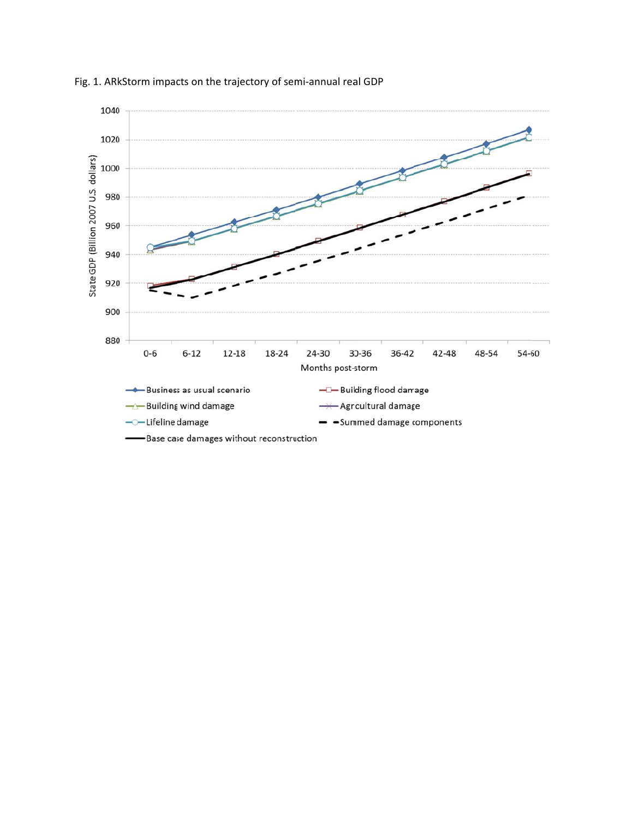

Fig. 1. ARkStorm impacts on the trajectory of semi-annual real GDP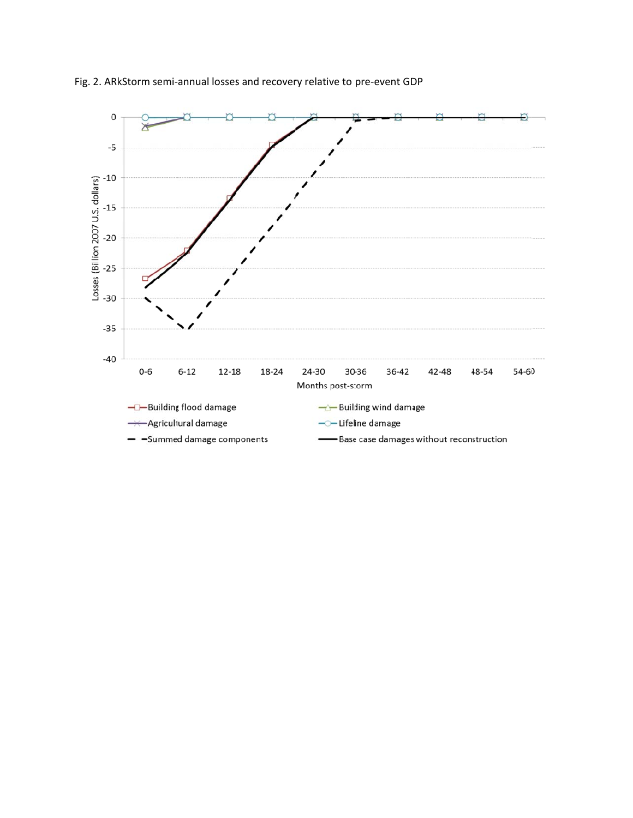

Fig. 2. ARkStorm semi-annual losses and recovery relative to pre-event GDP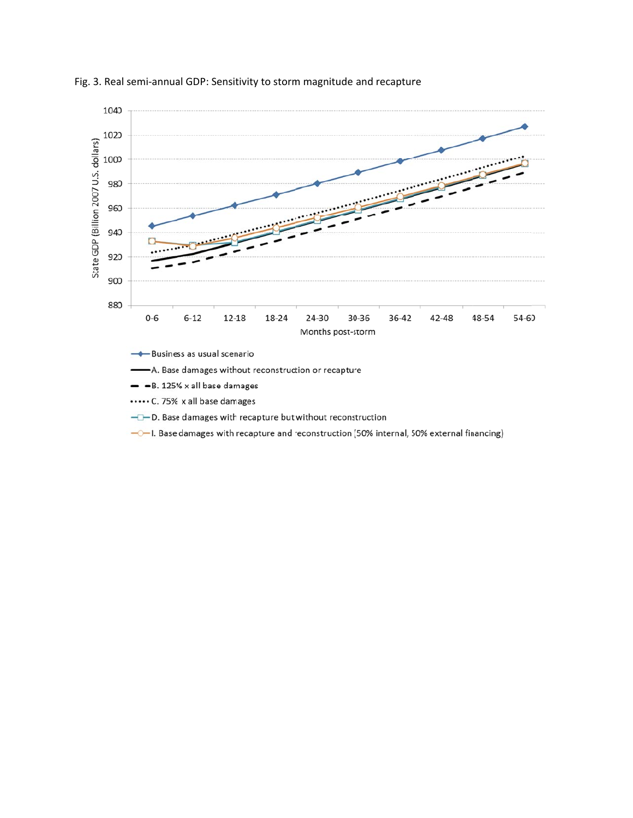

Fig. 3. Real semi-annual GDP: Sensitivity to storm magnitude and recapture

- 
- -O-I. Base damages with recapture and reconstruction (50% internal, 50% external financing)